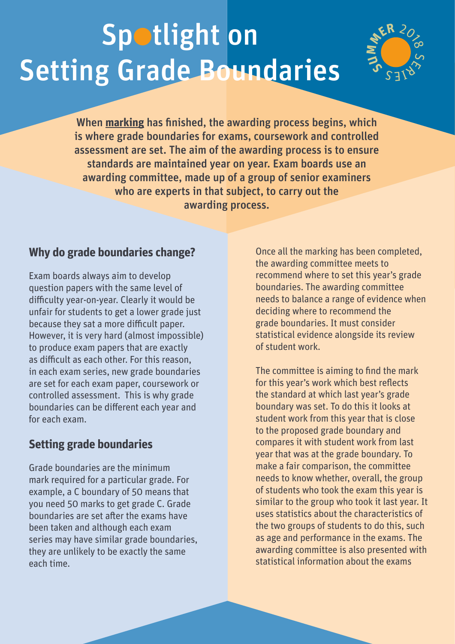## Spotlight on Setting Grade Boundaries



When **[marking](http://qualificationswales.org/media/3542/spotlight-on-marking.pdf)** has finished, the awarding process begins, which is where grade boundaries for exams, coursework and controlled assessment are set. The aim of the awarding process is to ensure standards are maintained year on year. Exam boards use an awarding committee, made up of a group of senior examiners who are experts in that subject, to carry out the awarding process.

## **Why do grade boundaries change?**

Exam boards always aim to develop question papers with the same level of difficulty year-on-year. Clearly it would be unfair for students to get a lower grade just because they sat a more difficult paper. However, it is very hard (almost impossible) to produce exam papers that are exactly as difficult as each other. For this reason, in each exam series, new grade boundaries are set for each exam paper, coursework or controlled assessment. This is why grade boundaries can be different each year and for each exam.

## **Setting grade boundaries**

Grade boundaries are the minimum mark required for a particular grade. For example, a C boundary of 50 means that you need 50 marks to get grade C. Grade boundaries are set after the exams have been taken and although each exam series may have similar grade boundaries, they are unlikely to be exactly the same each time.

Once all the marking has been completed, the awarding committee meets to recommend where to set this year's grade boundaries. The awarding committee needs to balance a range of evidence when deciding where to recommend the grade boundaries. It must consider statistical evidence alongside its review of student work.

The committee is aiming to find the mark for this year's work which best reflects the standard at which last year's grade boundary was set. To do this it looks at student work from this year that is close to the proposed grade boundary and compares it with student work from last year that was at the grade boundary. To make a fair comparison, the committee needs to know whether, overall, the group of students who took the exam this year is similar to the group who took it last year. It uses statistics about the characteristics of the two groups of students to do this, such as age and performance in the exams. The awarding committee is also presented with statistical information about the exams